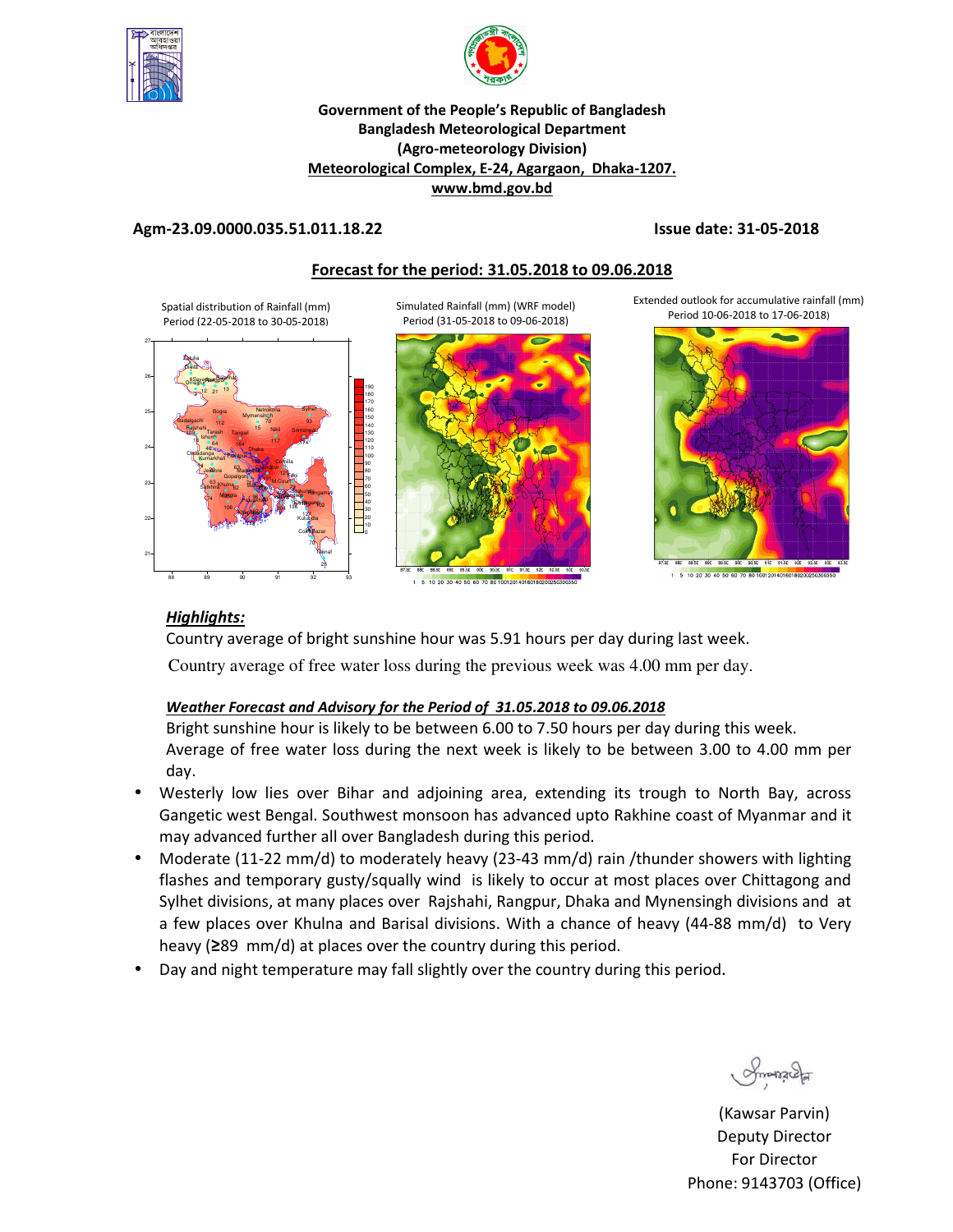



### **Government of the People's Republic of Bangladesh Bangladesh Meteorological Department (Agro-meteorology Division) Meteorological Complex, E-24, Agargaon, Dhaka-1207. www.bmd.gov.bd**

## **Agm-23.09.0000.035.51.011.18.22 Issue date: 31-05-2018**

## **Forecast for the period: 31.05.2018 to 09.06.2018**

Simulated Rainfall (mm) (WRF model)

Spatial distribution of Rainfall (mm) Period (22-05-2018 to 30-05-2018)





1 5 10 20 30 40 50 60 70 80 1001 20140160180200250

Extended outlook for accumulative rainfall (mm) Period 10-06-2018 to 17-06-2018)





## *Highlights:*

Country average of bright sunshine hour was 5.91 hours per day during last week. Country average of free water loss during the previous week was 4.00 mm per day.

## *Weather Forecast and Advisory for the Period of 31.05.2018 to 09.06.2018*

Bright sunshine hour is likely to be between 6.00 to 7.50 hours per day during this week. Average of free water loss during the next week is likely to be between 3.00 to 4.00 mm per day.

- Westerly low lies over Bihar and adjoining area, extending its trough to North Bay, across Gangetic west Bengal. Southwest monsoon has advanced upto Rakhine coast of Myanmar and it may advanced further all over Bangladesh during this period.
- Moderate (11-22 mm/d) to moderately heavy (23-43 mm/d) rain /thunder showers with lighting flashes and temporary gusty/squally wind is likely to occur at most places over Chittagong and Sylhet divisions, at many places over Rajshahi, Rangpur, Dhaka and Mynensingh divisions and at a few places over Khulna and Barisal divisions. With a chance of heavy (44-88 mm/d) to Very heavy (**≥**89 mm/d) at places over the country during this period.
- Day and night temperature may fall slightly over the country during this period.

Smanaca

(Kawsar Parvin) Deputy Director For Director Phone: 9143703 (Office)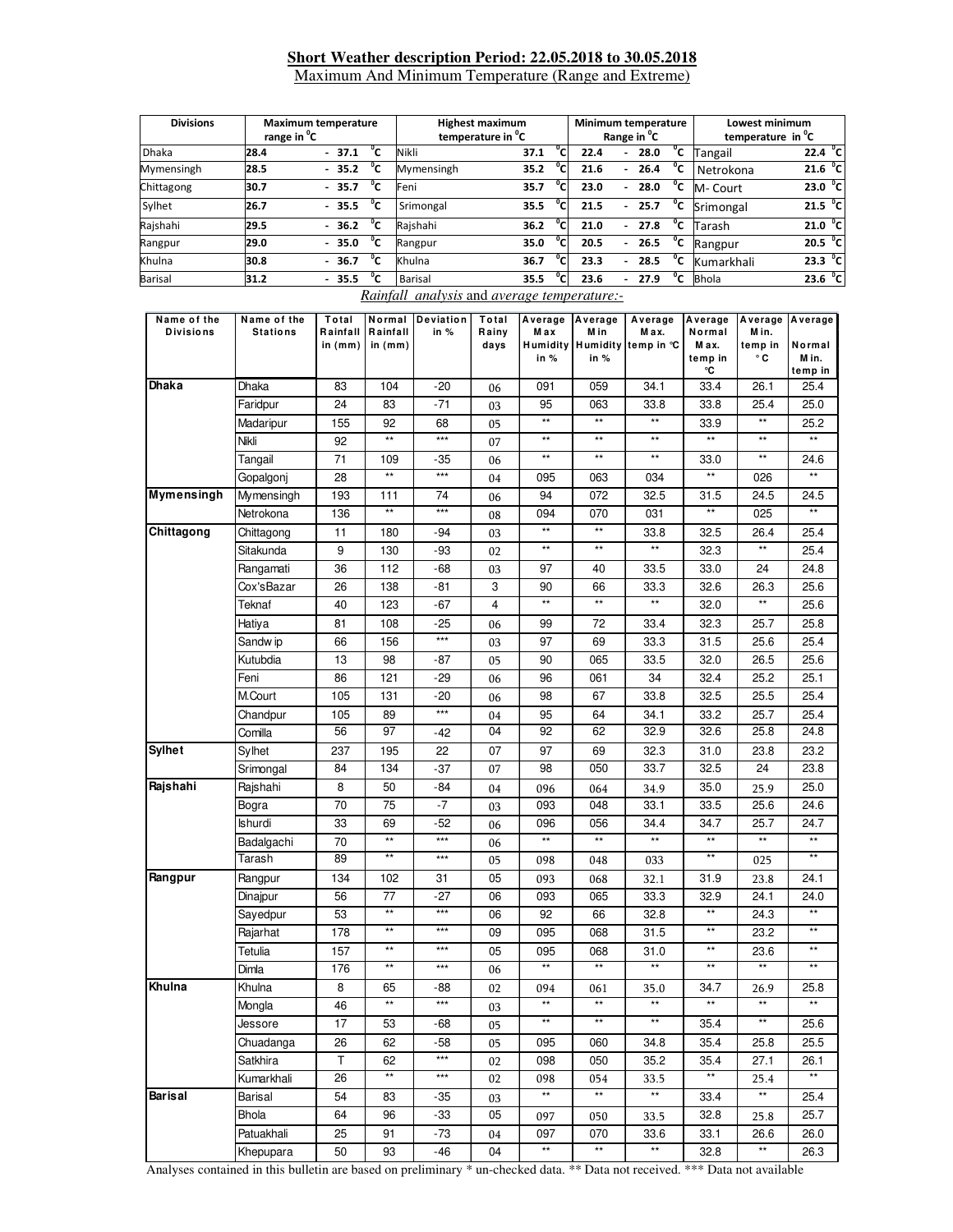## **Short Weather description Period: 22.05.2018 to 30.05.2018**

Maximum And Minimum Temperature (Range and Extreme)

| <b>Divisions</b>                                                                                                                  |                 | <b>Maximum temperature</b>       |                                  |                                                          | <b>Highest maximum</b> |                        |                 | Minimum temperature                               |                      | Lowest minimum                                            |                     |  |
|-----------------------------------------------------------------------------------------------------------------------------------|-----------------|----------------------------------|----------------------------------|----------------------------------------------------------|------------------------|------------------------|-----------------|---------------------------------------------------|----------------------|-----------------------------------------------------------|---------------------|--|
| Dhaka                                                                                                                             | 28.4            | range in <sup>o</sup> C          |                                  | temperature in <sup>o</sup> C<br>$\overline{c}$<br>Nikli |                        |                        | 22.4            | Range in <sup>°</sup> C<br>$\overline{c}$<br>28.0 |                      | temperature in <sup>o</sup> C<br>$22.4 \text{ }^{\circ}C$ |                     |  |
|                                                                                                                                   |                 | $-37.1$                          | $\overline{c}$<br>$\overline{c}$ |                                                          |                        | 37.1<br>°c             |                 | $^{\circ}$ c                                      | Tangail              |                                                           | 21.6 °C             |  |
| Mymensingh                                                                                                                        | 28.5            | 35.2                             |                                  | Mymensingh                                               |                        | 35.2                   | 21.6            | 26.4<br>$\blacksquare$<br>$\overline{c}$          | Netrokona            |                                                           |                     |  |
| Chittagong                                                                                                                        | 30.7            | 35.7                             | $\overline{c}$<br>Feni           |                                                          |                        | $^{\circ}$ c<br>35.7   | 23.0            | 28.0<br>$\blacksquare$                            | M- Court             |                                                           | 23.0 °C             |  |
| Sylhet                                                                                                                            | 26.7            | 35.5<br>$\overline{\phantom{a}}$ | $^{\circ}$ c                     | Srimongal                                                |                        | °c<br>35.5             | 21.5            | $^{\circ}$ c<br>25.7                              | Srimongal            |                                                           | 21.5 °C             |  |
| Rajshahi                                                                                                                          | 29.5            | 36.2<br>$\overline{\phantom{a}}$ | ℃                                | Rajshahi                                                 |                        | °c<br>36.2             | 21.0            | $^{\circ}$ c<br>27.8<br>$\overline{\phantom{a}}$  | Tarash               |                                                           | 21.0 °C             |  |
| Rangpur                                                                                                                           | 29.0            | 35.0                             | $\overline{C}$                   | Rangpur                                                  |                        | $\overline{c}$<br>35.0 | 20.5            | $^{\circ}$ C<br>26.5                              | Rangpur              |                                                           | 20.5 <sup>o</sup> C |  |
| Khulna                                                                                                                            | 30.8            | 36.7<br>$\blacksquare$           | $^{\circ}$ c                     | Khulna                                                   |                        | °с<br>36.7             | 23.3            | ℃<br>28.5                                         | Kumarkhali           |                                                           | 23.3 <sup>o</sup> C |  |
| Barisal                                                                                                                           | 31.2            | $-35.5$                          | ℃                                | <b>Barisal</b>                                           |                        | °с<br>35.5             | 23.6            | °c<br>27.9<br>$\blacksquare$                      | <b>Bhola</b>         |                                                           | 23.6 °C             |  |
|                                                                                                                                   |                 |                                  |                                  | Rainfall analysis and average temperature:-              |                        |                        |                 |                                                   |                      |                                                           |                     |  |
| Name of the<br>Total<br>Normal<br><b>Deviation</b><br>Average<br>Name of the<br>Total<br>Average<br>Average<br>Average<br>Average |                 |                                  |                                  |                                                          |                        |                        |                 |                                                   | Average              |                                                           |                     |  |
| <b>Divisions</b>                                                                                                                  | <b>Stations</b> | Rainfall                         | Rainfall                         | in %                                                     | Rainy                  | Max                    | Min             | Max.                                              | Normal               | Min.                                                      |                     |  |
|                                                                                                                                   |                 | in (mm)                          | in $(mm)$                        |                                                          | days                   | Humidity<br>in $%$     | in $%$          | Humidity temp in °C                               | Max.<br>temp in      | temp in<br>۰c                                             | Normal<br>M in.     |  |
|                                                                                                                                   |                 |                                  |                                  |                                                          |                        |                        |                 |                                                   | °C                   |                                                           | temp in             |  |
| Dhaka                                                                                                                             | Dhaka           | 83                               | 104                              | $-20$                                                    | 06                     | 091                    | 059             | 34.1                                              | 33.4                 | 26.1                                                      | 25.4                |  |
|                                                                                                                                   | Faridpur        | 24                               | 83                               | $-71$                                                    | 03                     | 95                     | 063             | 33.8                                              | 33.8                 | 25.4                                                      | 25.0                |  |
|                                                                                                                                   | Madaripur       | 155                              | 92                               | 68                                                       | 05                     | $\star\star$           | $\star\star$    | $^{\star\star}$                                   | 33.9                 | $^{\star\star}$                                           | 25.2                |  |
|                                                                                                                                   | Nikli           | 92                               | $^{\star\star}$                  | $***$                                                    | 07                     | $\star\star$           | $^{\star\star}$ | $^{\star\star}$                                   | $\star\star$         | $^{\star\star}$                                           | $\star\star$        |  |
|                                                                                                                                   | Tangail         | 71                               | 109                              | $-35$                                                    | 06                     | $\star\star$           | $\star\star$    | $\star\star$                                      | 33.0                 | $\star\star$                                              | 24.6                |  |
|                                                                                                                                   | Gopalgonj       | 28                               | $\star\star$                     | $***$                                                    | 04                     | 095                    | 063             | 034                                               | $\star\star$         | 026                                                       | **                  |  |
| Mymensingh                                                                                                                        | Mymensingh      | 193                              | 111                              | 74                                                       | 06                     | 94                     | 072             | 32.5                                              | 31.5                 | 24.5                                                      | 24.5                |  |
|                                                                                                                                   | Netrokona       | 136                              | $\star\star$                     | $***$                                                    | 08                     | 094                    | 070             | 031                                               | $***$                | 025                                                       | **                  |  |
| Chittagong                                                                                                                        |                 | 11                               |                                  | $-94$                                                    |                        | $\star\star$           | $^{\star\star}$ |                                                   | 32.5                 | 26.4                                                      | 25.4                |  |
|                                                                                                                                   | Chittagong      |                                  | 180                              |                                                          | 03                     | $\star\star$           | $\star\star$    | 33.8<br>$\star\star$                              |                      | $\star\star$                                              |                     |  |
|                                                                                                                                   | Sitakunda       | 9                                | 130                              | -93                                                      | 02                     |                        |                 |                                                   | 32.3                 |                                                           | 25.4                |  |
|                                                                                                                                   | Rangamati       | 36                               | 112                              | $-68$                                                    | 03                     | 97                     | 40              | 33.5                                              | 33.0                 | 24                                                        | 24.8                |  |
|                                                                                                                                   | Cox'sBazar      | 26                               | 138                              | $-81$                                                    | 3                      | 90<br>$\star\star$     | 66<br>$**$      | 33.3                                              | 32.6                 | 26.3                                                      | 25.6                |  |
|                                                                                                                                   | Teknaf          | 40                               | 123                              | $-67$                                                    | 4                      |                        |                 | $^{\star\star}$                                   | 32.0                 | $^{\star\star}$                                           | 25.6                |  |
|                                                                                                                                   | Hatiya          | 81                               | 108                              | $-25$                                                    | 06                     | 99                     | 72              | 33.4                                              | 32.3                 | 25.7                                                      | 25.8                |  |
|                                                                                                                                   | Sandw ip        | 66                               | 156                              | $***$                                                    | 03                     | 97                     | 69              | 33.3                                              | 31.5                 | 25.6                                                      | 25.4                |  |
|                                                                                                                                   | Kutubdia        | 13                               | 98                               | $-87$                                                    | 05                     | 90                     | 065             | 33.5                                              | 32.0                 | 26.5                                                      | 25.6                |  |
|                                                                                                                                   | Feni            | 86                               | 121                              | -29                                                      | 06                     | 96                     | 061             | 34                                                | 32.4                 | 25.2                                                      | 25.1                |  |
|                                                                                                                                   | M.Court         | 105                              | 131                              | $-20$                                                    | 06                     | 98                     | 67              | 33.8                                              | 32.5                 | 25.5                                                      | 25.4                |  |
|                                                                                                                                   | Chandpur        | 105                              | 89                               | $***$                                                    | 04                     | 95                     | 64              | 34.1                                              | 33.2                 | 25.7                                                      | 25.4                |  |
|                                                                                                                                   | Comilla         | 56                               | 97                               | $-42$                                                    | 04                     | 92                     | 62              | 32.9                                              | 32.6                 | 25.8                                                      | 24.8                |  |
| <b>Sylhet</b>                                                                                                                     | Sylhet          | 237                              | 195                              | 22                                                       | 07                     | 97                     | 69              | 32.3                                              | 31.0                 | 23.8                                                      | 23.2                |  |
|                                                                                                                                   | Srimongal       | 84                               | 134                              | $-37$                                                    | 07                     | 98                     | 050             | 33.7                                              | 32.5                 | 24                                                        | 23.8                |  |
| Rajshahi                                                                                                                          | Rajshahi        | 8                                | 50                               | $-84$                                                    | 04                     | 096                    | 064             | 34.9                                              | 35.0                 | 25.9                                                      | 25.0                |  |
|                                                                                                                                   | Bogra           | 70                               | 75                               | $-7$                                                     | 03                     | 093                    | 048             | 33.1                                              | 33.5                 | 25.6                                                      | 24.6                |  |
|                                                                                                                                   | Ishurdi         | 33                               | 69                               | $-52$                                                    | 06                     | 096                    | 056             | 34.4                                              | 34.7                 | 25.7                                                      | 24.7                |  |
|                                                                                                                                   | Badalgachi      | 70                               | $\star\star$                     | $***$                                                    | 06                     | $\star\star$           | $\star\star$    | $\star\star$                                      | $\star\star$         | **                                                        | **                  |  |
|                                                                                                                                   | Tarash          | 89                               | **                               | $***$                                                    | 05                     | 098                    | 048             | 033                                               | $\star\star$         | 025                                                       | $\star\star$        |  |
| Rangpur                                                                                                                           | Rangpur         | 134                              | 102                              | 31                                                       | 05                     | 093                    |                 | 32.1                                              | 31.9                 |                                                           | 24.1                |  |
|                                                                                                                                   |                 | 56                               | 77                               | $-27$                                                    | 06                     | 093                    | 068             | 33.3                                              |                      | 23.8                                                      | 24.0                |  |
|                                                                                                                                   | Dinajpur        |                                  | $\overline{\phantom{a}}$         | $***$                                                    |                        |                        | 065             |                                                   | 32.9<br>$\star\star$ | 24.1                                                      | $\star\star$        |  |
|                                                                                                                                   | Sayedpur        | 53                               | $\star\star$                     | $***$                                                    | 06                     | 92                     | 66              | 32.8                                              | $\star\star$         | 24.3                                                      | $\star\star$        |  |
|                                                                                                                                   | Rajarhat        | 178                              |                                  |                                                          | 09                     | 095                    | 068             | 31.5                                              |                      | 23.2                                                      |                     |  |
|                                                                                                                                   | Tetulia         | 157                              | $^{\star\star}$                  | $\star\star\star$                                        | 05                     | 095                    | 068<br>$**$     | 31.0                                              | $\star\star$         | 23.6                                                      | $\star\star$        |  |
|                                                                                                                                   | Dimla           | 176                              | $***$                            | $\star\star\star$                                        | 06                     | $**$                   |                 | $***$                                             | $***$                | $**$                                                      | $**$                |  |
| Khulna                                                                                                                            | Khulna          | 8                                | 65                               | -88                                                      | 02                     | 094                    | 061             | 35.0                                              | 34.7                 | 26.9                                                      | 25.8                |  |
|                                                                                                                                   | Mongla          | 46                               | $^{\star\star}$                  | $\star\star\star$                                        | 03                     | $\star\star$           | $^{\star\star}$ | $\star\star$                                      | $\star\star$         | $^{\star\star}$                                           | $\star\star$        |  |
|                                                                                                                                   | Jessore         | 17                               | 53                               | -68                                                      | 05                     | $^{\star\star}$        | $^{\star\star}$ | $^{\star\star}$                                   | 35.4                 | $\star\star$                                              | 25.6                |  |
|                                                                                                                                   | Chuadanga       | 26                               | 62                               | $-58$                                                    | 05                     | 095                    | 060             | 34.8                                              | 35.4                 | 25.8                                                      | 25.5                |  |
|                                                                                                                                   | Satkhira        | Τ                                | 62                               | $***$                                                    | 02                     | 098                    | 050             | 35.2                                              | 35.4                 | 27.1                                                      | 26.1                |  |
|                                                                                                                                   | Kumarkhali      | 26                               | **                               | $\star\star\star$                                        | 02                     | 098                    | 054             | 33.5                                              | **                   | 25.4                                                      | **                  |  |
| Barisal                                                                                                                           | Barisal         | 54                               | 83                               | -35                                                      | 03                     | $\star\star$           | $\star\star$    | $\star\star$                                      | 33.4                 | $^{\star\star}$                                           | 25.4                |  |
|                                                                                                                                   | Bhola           | 64                               | 96                               | $-33$                                                    | 05                     | 097                    | 050             | 33.5                                              | 32.8                 | 25.8                                                      | 25.7                |  |
|                                                                                                                                   | Patuakhali      | 25                               | 91                               | $-73$                                                    | 04                     | 097                    | 070             | 33.6                                              | 33.1                 | 26.6                                                      | 26.0                |  |
|                                                                                                                                   | Khepupara       | 50                               | 93                               | $-46$                                                    | 04                     | $^{\star\star}$        | $^{\star\star}$ | $^{\star\star}$                                   | 32.8                 | **                                                        | 26.3                |  |
|                                                                                                                                   |                 |                                  |                                  |                                                          |                        |                        |                 |                                                   |                      |                                                           |                     |  |

Analyses contained in this bulletin are based on preliminary \* un-checked data. \*\* Data not received. \*\*\* Data not available

┙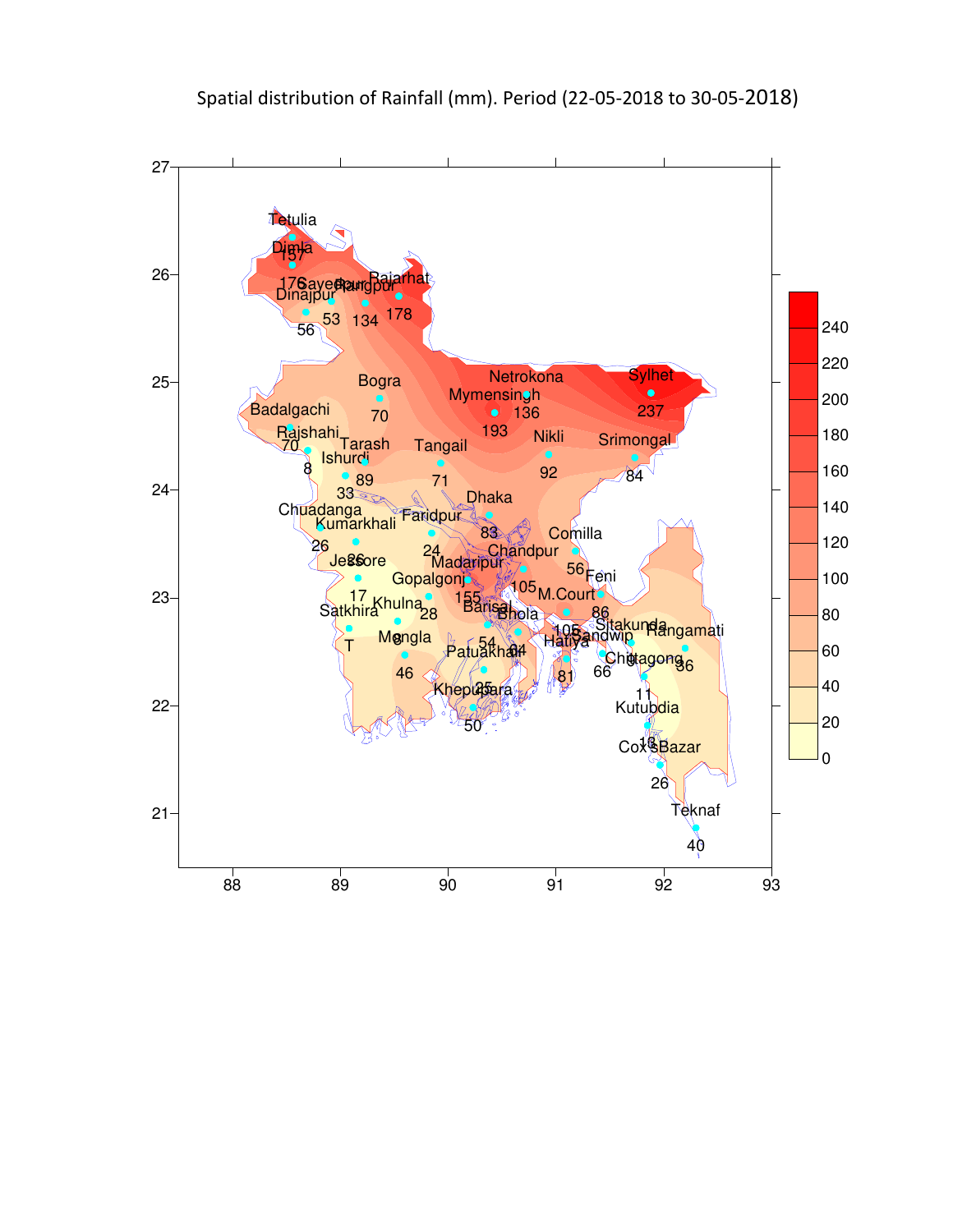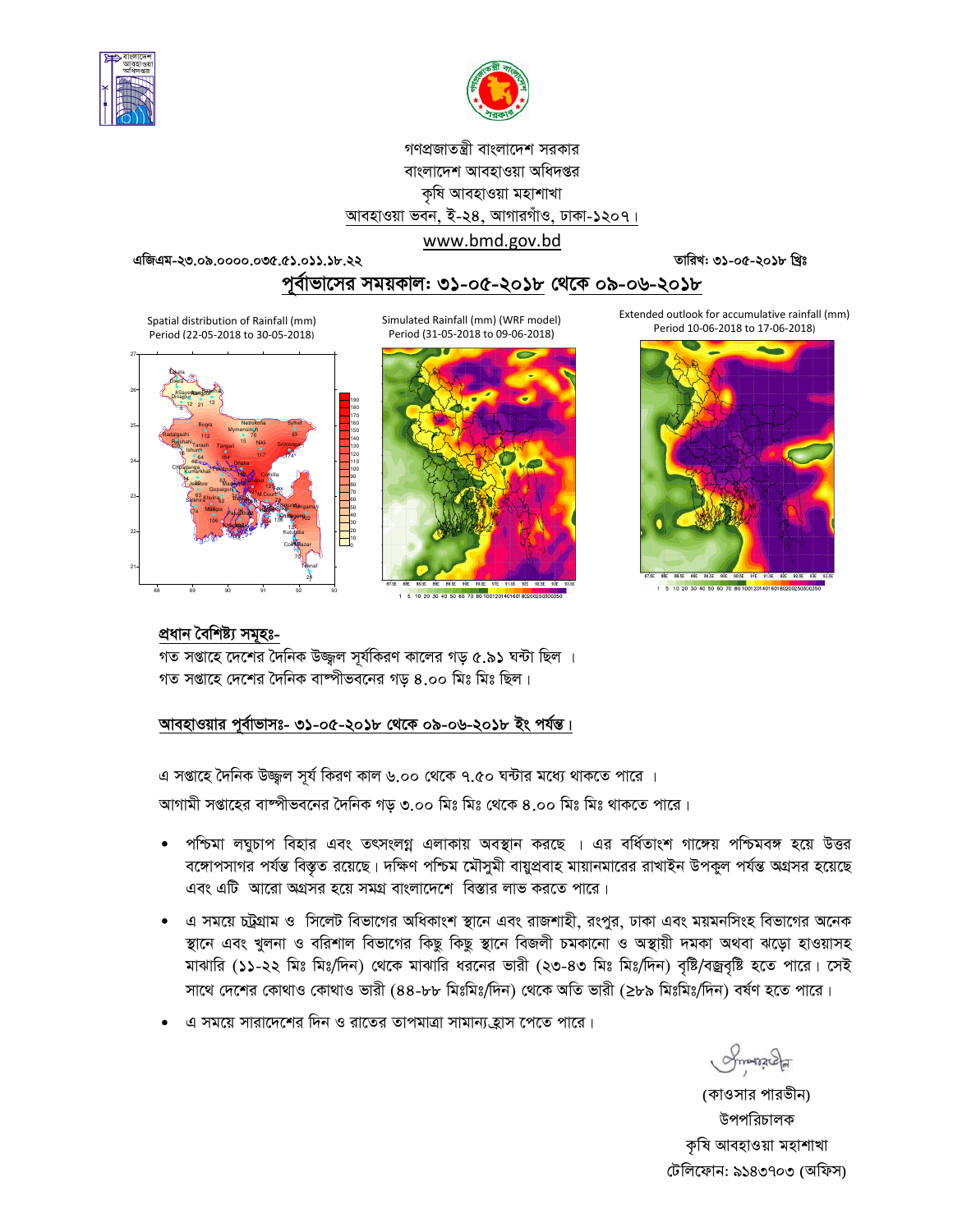



# গণপ্রজাতন্ত্রী বাংলাদেশ সরকার বাংলাদেশ আবহাওয়া অধিদপ্তর কৃষি আবহাওয়া মহাশাখা আবহাওয়া ভবন, ই-২৪, আগারগাঁও, ঢাকা-১২০৭।

### www.bmd.gov.bd

এজিএম-২৩.০৯.০০০০.০৩৫.৫১.০১১.১৮.২২

তারিখ: ৩১-০৫-২০১৮ খ্রিঃ

পর্বাভাসের সময়কাল: ৩১-০৫-২০১৮ থেকে ০৯-০৬-২০১৮

Spatial distribution of Rainfall (mm) Period (22-05-2018 to 30-05-2018)



Simulated Rainfall (mm) (WRF model) Period (31-05-2018 to 09-06-2018)



1 5 10 20 30 40 50 60 70 80 10012014016018020025

Extended outlook for accumulative rainfall (mm) Period 10-06-2018 to 17-06-2018)



5 10 20 30 40 50 60 70 80 1001201401601802002503

## প্ৰধান বৈশিষ্ট্য সমূহঃ-

গত সপ্তাহে দেশের দৈনিক উজ্জ্বল সূর্যকিরণ কালের গড় ৫.৯১ ঘন্টা ছিল । গত সপ্তাহে দেশের দৈনিক বাষ্পীভবনের গড় ৪.০০ মিঃ মিঃ ছিল।

আবহাওয়ার পূর্বাভাসঃ- ৩১-০৫-২০১৮ থেকে ০৯-০৬-২০১৮ ইং পর্যন্ত।

এ সপ্তাহে দৈনিক উজ্জুল সূর্য কিরণ কাল ৬.০০ থেকে ৭.৫০ ঘন্টার মধ্যে থাকতে পারে ।

আগামী সপ্তাহের বাষ্পীভবনের দৈনিক গড় ৩.০০ মিঃ মিঃ থেকে ৪.০০ মিঃ মিঃ থাকতে পারে।

- পশ্চিমা লঘুচাপ বিহার এবং তৎসংলগ্ন এলাকায় অবস্থান করছে । এর বর্ধিতাংশ গাঙ্গেয় পশ্চিমবঙ্গ হয়ে উত্তর বঙ্গোপসাগর পর্যন্ত বিস্তৃত রয়েছে। দক্ষিণ পশ্চিম মৌসুমী বায়ুপ্রবাহ মায়ানমারের রাখাইন উপকুল পর্যন্ত অগ্রসর হয়েছে এবং এটি আরো অগ্রসর হয়ে সমগ্র বাংলাদেশে বিস্তার লাভ করতে পারে।
- এ সময়ে চট্টগ্রাম ও সিলেট বিভাগের অধিকাংশ স্থানে এবং রাজশাহী, রংপুর, ঢাকা এবং ময়মনসিংহ বিভাগের অনেক স্থানে এবং খুলনা ও বরিশাল বিভাগের কিছু কিছু স্থানে বিজলী চমকানো ও অস্থায়ী দমকা অথবা ঝড়ো হাওয়াসহ মাঝারি (১১-২২ মিঃ মিঃ/দিন) থেকে মাঝারি ধরনের ভারী (২৩-৪৩ মিঃ মিঃ/দিন) বৃষ্টি/বজ্রবৃষ্টি হতে পারে। সেই সাথে দেশের কোথাও কোথাও ভারী (৪৪-৮৮ মিঃমিঃ/দিন) থেকে অতি ভারী (≥৮৯ মিঃমিঃ/দিন) বর্ষণ হতে পারে।
- এ সময়ে সারাদেশের দিন ও রাতের তাপমাত্রা সামান্য,হাস পেতে পারে।

 $O$ manacha

(কাওসার পারভীন) উপপরিচালক কৃষি আবহাওয়া মহাশাখা টেলিফোন: ৯১৪৩৭০৩ (অফিস)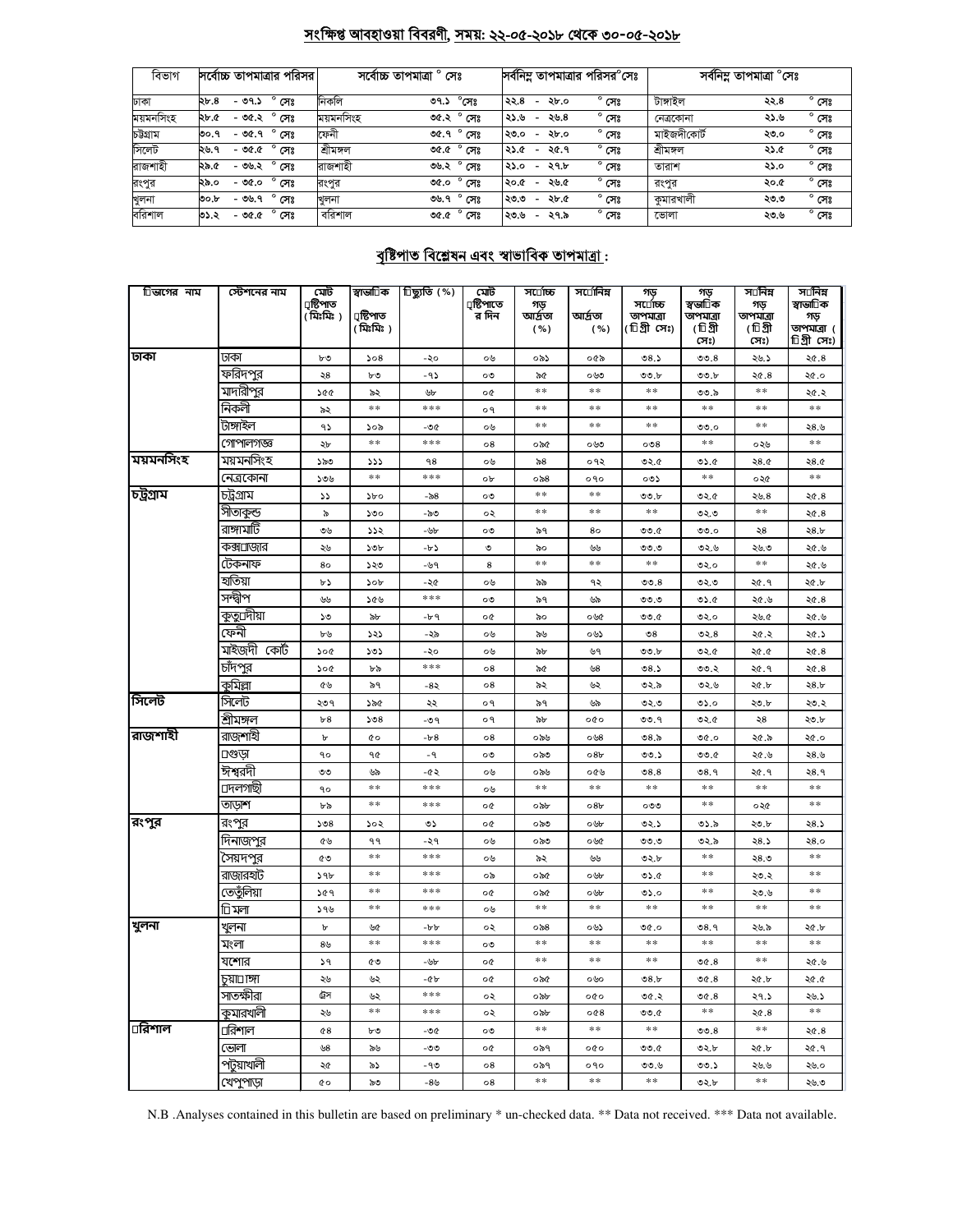## সংক্ষিপ্ত আবহাওয়া বিবরণী, সময়: ২২-০৫-২০১৮ থেকে ৩০-০৫-২০১৮

| বিভাগ     | সর্বোচ্চ তাপমাত্রার পরিসর         | সৰ্বোচ্চ তাপমাত্ৰা ° সেঃ          | সর্বনিম্ন তাপমাত্রার পরিসর°সেঃ                             | সর্বনিম্ন তাপমাত্রা °সেঃ              |  |  |
|-----------|-----------------------------------|-----------------------------------|------------------------------------------------------------|---------------------------------------|--|--|
| ঢাকা      | $^{\circ}$ সেঃ<br>২৮.৪<br>- ৩৭.১  | নিকলি<br>$^{\circ}$ সেঃ<br>৩৭.১   | $^{\circ}$ সেঃ<br>২২.৪<br>২৮.০<br>$\overline{\phantom{a}}$ | $^{\circ}$ সেঃ<br>টাঙ্গাইল<br>২২.৪    |  |  |
| ময়মনসিংহ | $^{\circ}$ সেঃ<br>- ৩৫.২<br>২৮.৫  | ময়মনসিংহ<br>ಿ ೧೯೫<br>৩৫.২        | $^{\circ}$ সেঃ<br>২৬.৪<br>২১.৬<br>$\overline{\phantom{a}}$ | $^{\circ}$ সেঃ<br>২১.৬<br>নেত্ৰকোনা   |  |  |
| চউগ্ৰাম   | $^{\circ}$ সেঃ<br>$-90.9$<br>৩০.৭ | ফেনী<br>৩৫.৭° সেঃ                 | $^{\circ}$ সেঃ<br>২৮.০<br>২৩.০<br>$\overline{\phantom{a}}$ | মাইজদীকোর্ট<br>$^{\circ}$ সেঃ<br>২৩.০ |  |  |
| সিলেট     | $^{\circ}$ সেঃ<br>- ৩৫.৫<br>২৬.৭  | শ্ৰীমঙ্গল<br>৩৫.৫ $^{\circ}$ সেঃ  | $^{\circ}$ সেঃ<br>২৫.৭<br>২১.৫<br>$\overline{\phantom{a}}$ | শ্ৰীমঙ্গল<br>$^{\circ}$ সেঃ<br>২১.৫   |  |  |
| রাজশাহী   | $^{\circ}$ সেঃ<br>২৯.৫<br>- ৩৬.২  | রাজশাহী<br>$^{\circ}$ সেঃ<br>৩৬.২ | $^{\circ}$ সেঃ<br>২৭.৮<br>২১.০<br>$\overline{\phantom{0}}$ | $^{\circ}$ সেঃ<br>২১.০<br>তারাশ       |  |  |
| রংপুর     | $^{\circ}$ সেঃ<br>- ৩৫.০<br>২৯.০  | $^{\circ}$ সেঃ<br>0.00<br>রংপর    | $^{\circ}$ সেঃ<br>২৬.৫<br>২০.৫<br>$\overline{\phantom{a}}$ | $^{\circ}$ সেঃ<br>২০.৫<br>রংপুর       |  |  |
| খুলনা     | $^{\circ}$ সেঃ<br>- ৩৬.৭<br>৩০.৮  | $^{\circ}$ সেঃ<br>৩৬.৭<br>খলনা    | $^{\circ}$ সেঃ<br>২৮.৫<br>২৩.৩<br>$\overline{\phantom{a}}$ | $^{\circ}$ সেঃ<br>কমারখালী<br>২৩.৩    |  |  |
| বরিশাল    | $^{\circ}$ সেঃ<br>৩১.২<br>- ৩৫.৫  | বরিশাল<br>৩৫.৫ $^{\circ}$ সেঃ     | $^{\circ}$ সেঃ<br>২৭.৯<br>২৩.৬<br>$\overline{\phantom{0}}$ | $^{\circ}$ সেঃ<br>ভোলা<br>২৩.৬        |  |  |

# <u> বৃষ্টিপাত বিশ্লেষন এবং স্বাভাবিক তাপমাত্ৰা :</u>

| িভাগের নাম | স্টেশনের নাম      | মেট                     | স্বাভা∏ক        | িছ্যুতি (%) | মেট                 | স⊔োচ্চ          | স⊔োনিম          | গড়                   | গড                   | স⊡নিম            | স⊔নিম                    |
|------------|-------------------|-------------------------|-----------------|-------------|---------------------|-----------------|-----------------|-----------------------|----------------------|------------------|--------------------------|
|            |                   | ঢ়ষ্টিপাত<br>( মিঃমিঃ ) | ঢ়াষ্টিপাত      |             | ্ৰষ্টিপাতে<br>র দিন | গড়<br>আৰ্দ্ৰতা | আৰ্দ্ৰতা        | সর্⊔োচ্চ<br>তাপমাত্রা | স্বভা∏ক<br>তাপমাত্রা | গড়<br>তাপমাত্রা | স্বাভা∏ক<br>গড়          |
|            |                   |                         | ( মিঃমিঃ )      |             |                     | ( %)            | ( %)            | (টিগ্রী সেঃ)          | (চিগ্ৰী<br>সেঃ)      | (চিগ্ৰী<br>সেঃ)  | তাপমাত্রা (<br>িগ্ৰীসেঃ) |
| ঢাকা       | ঢাকা              | ৮৩                      | 508             | -২০         | ০৬                  | ০৯১             | ০৫৯             | 08.5                  | 00.8                 | ২৬.১             | ২৫.৪                     |
|            | ফরিদপুর           | ২৪                      | ৮৩              | $-95$       | ০৩                  | ৯৫              | ০৬৩             | ৩৩.৮                  | ৩৩.৮                 | 20.8             | ২৫.০                     |
|            | মাদারীপুর         | ১৫৫                     | ৯২              | ৬৮          | o¢                  | **              | $\gg \gg$       | $\pm$ $\pm$           | ৩৩.৯                 | $\ast$ $\ast$    | ২৫.২                     |
|            | নিকলী             | ৯২                      | $\ast$          | ***         | ο٩                  | **              | **              | $**$                  | $\pm$ $\pm$          | **               | **                       |
|            | টাঙ্গাইল          | ۹১                      | ১০৯             | -96         | ০৬                  | $\ast$          | $\ast$          | $\ast$                | 0.0                  | $* *$            | ২৪.৬                     |
|            | গোপালগজ্ঞ         | ২৮                      | $**$            | ***         | 08                  | ০৯৫             | ০৬৩             | 008                   | **                   | ০২৬              | **                       |
| ময়মনসিংহ  | ময়মনসিংহ         | ১৯৩                     | 555             | 98          | ০৬                  | ৯৪              | ०१२             | ৩২.৫                  | ৩১.৫                 | 28.0             | 28.0                     |
|            | নেত্রকোনা         | ১৩৬                     | $**$            | ***         | ob                  | ০৯৪             | ०१०             | ০৩১                   | $\ast$ $\ast$        | ০২৫              | **                       |
| চট্টগ্ৰাম  | চট্ৰগ্ৰাম         | دد                      | $\delta$        | -৯৪         | ০৩                  | $\pm$ $\pm$     | $\pm$ $\pm$     | 00.b                  | 0.50                 | ২৬.8             | ২৫.৪                     |
|            | সীতাকুন্ড         | ৯                       | ১৩০             | -৯৩         | ০২                  | $\ast$ $\ast$   | $\ast$ $\ast$   | $*\ast$               | ৩২.৩                 | $\ast\ast$       | ২৫.৪                     |
|            | রাঙ্গামাটি        | ৩৬                      | 552             | -৬৮         | ০৩                  | ৯৭              | 80              | 00.0                  | 00.0                 | ২8               | ২8.৮                     |
|            | কক্স⊔াজার         | ২৬                      | ১৩৮             | -৮১         | ৩                   | ৯০              | بالمالي         | 0.00                  | ৩২.৬                 | ২৬.৩             | ২৫.৬                     |
|            | টেকনাফ            | 80                      | ১২৩             | -৬৭         | 8                   | **              | $\ast$          | $**$                  | ৩২.০                 | **               | ২৫.৬                     |
|            | হাতিয়া           | ৮১                      | 50 <sub>b</sub> | $-20$       | ০৬                  | ৯৯              | ৭২              | 00.8                  | ৩২.৩                 | ২৫.৭             | ২৫.৮                     |
|            | সন্দ্বীপ          | ولين                    | ১৫৬             | ***         | ০৩                  | ৯৭              | ৬৯              | 0.0                   | ৩১.৫                 | ২৫.৬             | ২৫.৪                     |
|            | কুতু্⊔দীয়া       | ১৩                      | ৯৮              | -৮৭         | o¢                  | ৯০              | ০৬৫             | 00.6                  | ৩২.০                 | ২৬.৫             | ২৫.৬                     |
|            | ফেনী              | ৮৬                      | ১২১             | -২৯         | ০৬                  | ৯৬              | ০৬১             | $\mathcal{S}^{\circ}$ | 02.8                 | ২৫.২             | ২৫.১                     |
|            | মাইজদী কোঁট       | ১০৫                     | ১৩১             | -২০         | ০৬                  | ৯৮              | ৬৭              | ৩৩.৮                  | ৩২.৫                 | ২৫.৫             | ২৫.৪                     |
|            | চাঁদপুর           | ১০৫                     | ৮৯              | ***         | ο8                  | ৯৫              | ৬৪              | 08.5                  | 00.3                 | ২৫.৭             | 26.8                     |
|            | কুমিল্লা          | ৫৬                      | ৯৭              | -8২         | $\circ 8$           | ৯২              | ৬২              | ৩২.৯                  | ৩২৬                  | ২৫.৮             | 28.5                     |
| সিলেট      | সিলেট             | ২৩৭                     | ১৯৫             | ২২          | o٩                  | ৯৭              | ৬৯              | ৩২.৩                  | ৩১.০                 | ২৩.৮             | ২৩.২                     |
|            | শ্ৰীম <u>ঙ্গল</u> | b8                      | 508             | -৩৭         | ०१                  | ৯৮              | ०७०             | ৩৩.৭                  | ৩২.৫                 | ২৪               | ২৩.৮                     |
| রাজশাহী    | রাজশাইী           | ъ                       | Q0              | $-b-8$      | 08                  | ০৯৬             | ০৬ $8$          | ৩৪.৯                  | 0.90                 | ২৫.৯             | ২৫.০                     |
|            | ⊔গুডা             | ٩o                      | 90              | $-9$        | ০৩                  | ಂನಿಲ            | 08 <sub>b</sub> | ৩৩.১                  | 00.6                 | ২৫.৬             | ২৪.৬                     |
|            | ঈশ্বরদী           | ৩৩                      | ৬৯              | -৫২         | ০৬                  | ০৯৬             | ০৫৬             | 08.8                  | 08.9                 | ২৫.৭             | २8.१                     |
|            | ⊔দলগাছী           | ٩o                      | $* *$           | ***         | ০৬                  | $\ast$ $\ast$   | $\ast$ $\ast$   | $*\ast$               | $**$                 | $*\ast$          | **                       |
|            | তাড়াশ            | ৮৯                      | $\ast$ $\ast$   | ***         | o¢                  | ০৯৮             | 08 <sub>b</sub> | ೲ                     | $\ast$ $\ast$        | ০২৫              | $* *$                    |
| রংপুর      | রংপুর             | 508                     | ১০২             | ৩১          | o¢                  | ০৯৩             | ০৬৮             | ৩২.১                  | ৩১.৯                 | ২৩.৮             | ২৪.১                     |
|            | দিনাজপুর          | ৫৬                      | ۹۹              | -২৭         | ০৬                  | ಂನಿಲ            | ০৬৫             | 0.0                   | ৩২.৯                 | ২৪.১             | २8.०                     |
|            | সৈয়দপুর          | ৫৩                      | $**$            | $***$       | ০৬                  | ৯২              | ৬৬              | ৩২.৮                  | $* *$                | ২৪.৩             | $**$                     |
|            | রাজারহাট          | ১৭৮                     | $\ast$ $\ast$   | ***         | ০৯                  | ০৯৫             | ০৬৮             | 0.6                   | $\ast$ $\ast$        | ২৩.২             | $* *$                    |
|            | তেতুঁলিয়া        | ১৫৭                     | $\pm$ $\pm$     | ***         | o¢                  | ০৯৫             | ০৬৮             | ৩১.০                  | $\pm$ $\pm$          | ২৩.৬             | $\ast$ $\ast$            |
|            | া মলা             | ১৭৬                     | $\ast$ $\ast$   | ***         | ০৬                  | $\ast$          | $\ast$          | $**$                  | $\ast$               | $\ast$ $\ast$    | $* *$                    |
| খুলনা      | খুলনা             | Ъ                       | ৬৫              | -৮৮         | ০২                  | ০৯৪             | ০৬১             | ৩৫.০                  | 08.9                 | ২৬.৯             | ২৫.৮                     |
|            | মংলা              | 8 <sub>b</sub>          | **              | ***         | ০৩                  | **              | **              | $**$                  | **                   | **               | **                       |
|            | যশোর              | 59                      | ৫৩              | -৬৮         | o¢                  | $\pm$ $\pm$     | $\ast$          | $**$                  | 00.8                 | $\pm$ $\pm$      | ২৫.৬                     |
|            | চয়া⊡াঙ্গা        | ২৬                      | ৬২              | -45         | o¢                  | ০৯৫             | ০৬০             | ৩৪.৮                  | 00.8                 | ২৫.৮             | ২৫.৫                     |
|            | সাতক্ষীরা         | ট্রস                    | ৬২              | ***         | ०२                  | ০৯৮             | 000             | ৩৫.২                  | 0C.8                 | ২৭.১             | ২৬.১                     |
|            | কুমারখালী         | ২৬                      | $**$            | ***         | ০২                  | ০৯৮             | 0@8             | ৩৩.৫                  | **                   | 26.8             | **                       |
| ⊔রিশাল     | ⊔রিশাল            | 68                      | ৮৩              | -06         | ০৩                  | **              | **              | $**$                  | 00.8                 | **               | ২৫.৪                     |
|            | ভোলা              | ৬৪                      | ৯৬              | -೨೨         | o¢                  | ০৯৭             | 000             | 0.00                  | ৩২.৮                 | ২৫.৮             | ২৫.৭                     |
|            | পটয়াখালী         | ২৫                      | ৯১              | -90         | 08                  | ০৯৭             | ०१०             | ৩৩.৬                  | 00.5                 | ২৬.৬             | ২৬.০                     |
|            | খেপুপাড়া         | <b>c</b> o              | ৯৩              | -৪৬         | $\circ 8$           | $\pm \pm$       | $\pm$ $\pm$     | $\ast$ $\ast$         | ৩২.৮                 | $\ast$ $\ast$    | ২৬.৩                     |

N.B .Analyses contained in this bulletin are based on preliminary \* un-checked data. \*\* Data not received. \*\*\* Data not available.